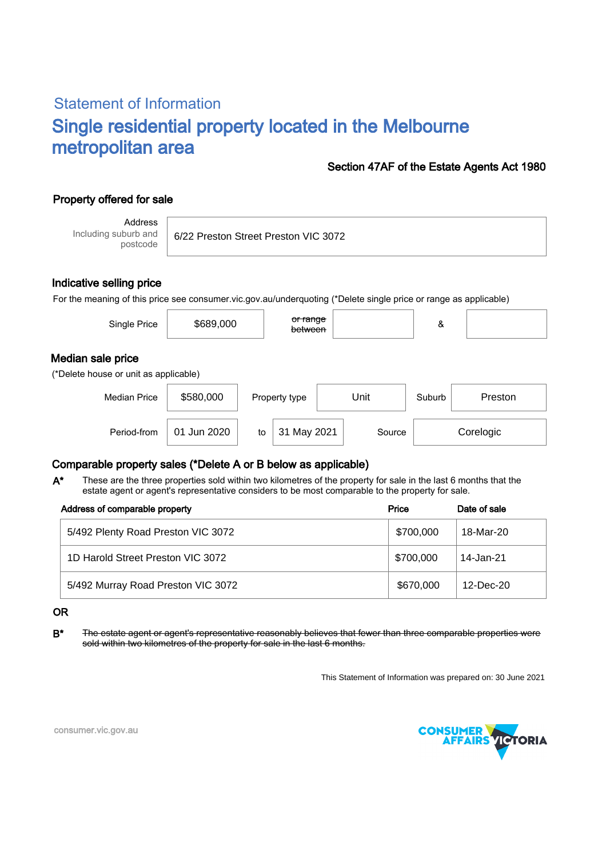# Statement of Information Single residential property located in the Melbourne metropolitan area

#### Section 47AF of the Estate Agents Act 1980

## Property offered for sale

Address Including suburb and postcode

6/22 Preston Street Preston VIC 3072

#### Indicative selling price

For the meaning of this price see consumer.vic.gov.au/underquoting (\*Delete single price or range as applicable)

| Median sale price<br>(*Delete house or unit as applicable)          | Single Price | \$689,000 | <del>or range</del><br>between |  | & |         |  |  |
|---------------------------------------------------------------------|--------------|-----------|--------------------------------|--|---|---------|--|--|
|                                                                     |              |           |                                |  |   |         |  |  |
| \$580,000<br>Unit<br><b>Median Price</b><br>Suburb<br>Property type |              |           |                                |  |   | Preston |  |  |

Period-from | 01 Jun 2020 | to | 31 May 2021 | Source | Corelogic

### Comparable property sales (\*Delete A or B below as applicable)

These are the three properties sold within two kilometres of the property for sale in the last 6 months that the estate agent or agent's representative considers to be most comparable to the property for sale. A\*

| Address of comparable property     | Price     | Date of sale |
|------------------------------------|-----------|--------------|
| 5/492 Plenty Road Preston VIC 3072 | \$700,000 | 18-Mar-20    |
| 1D Harold Street Preston VIC 3072  | \$700,000 | 14-Jan-21    |
| 5/492 Murray Road Preston VIC 3072 | \$670,000 | $12$ -Dec-20 |

#### OR

B<sup>\*</sup> The estate agent or agent's representative reasonably believes that fewer than three comparable properties were sold within two kilometres of the property for sale in the last 6 months.

This Statement of Information was prepared on: 30 June 2021



consumer.vic.gov.au